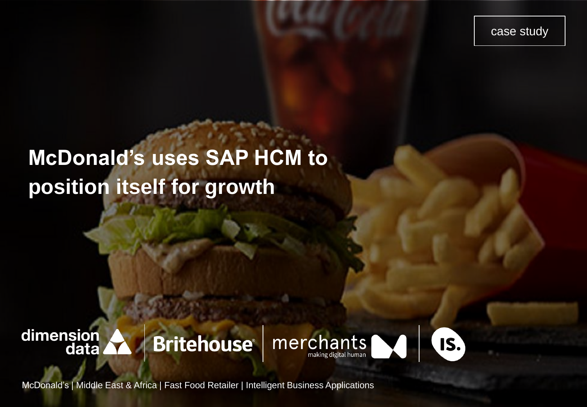case study

# **McDonald's uses SAP HCM to position itself for growth**

# dimension<br>data **Britehouse®**





McDonald's | Middle East & Africa | Fast Food Retailer | Intelligent Business Applications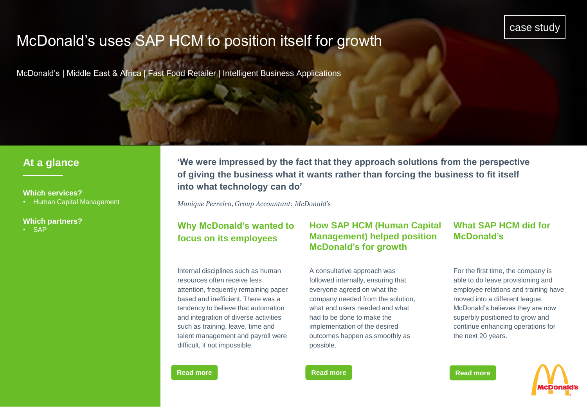## McDonald's uses SAP HCM to position itself for growth

McDonald's | Middle East & Africa | Fast Food Retailer | Intelligent Business Applications

### **At a glance**

#### **Which services?**

• Human Capital Management

#### **Which partners?**

• SAP

**'We were impressed by the fact that they approach solutions from the perspective of giving the business what it wants rather than forcing the business to fit itself into what technology can do'** 

*Monique Perreira, Group Accountant: McDonald's*

## **Why McDonald's wanted to focus on its employees**

Internal disciplines such as human resources often receive less attention, frequently remaining paper based and inefficient. There was a tendency to believe that automation and integration of diverse activities such as training, leave, time and talent management and payroll were difficult, if not impossible.

#### **How SAP HCM (Human Capital Management) helped position McDonald's for growth**

A consultative approach was followed internally, ensuring that everyone agreed on what the company needed from the solution, what end users needed and what had to be done to make the implementation of the desired outcomes happen as smoothly as possible.

#### **What SAP HCM did for McDonald's**

For the first time, the company is able to do leave provisioning and employee relations and training have moved into a different league. McDonald's believes they are now superbly positioned to grow and continue enhancing operations for the next 20 years.